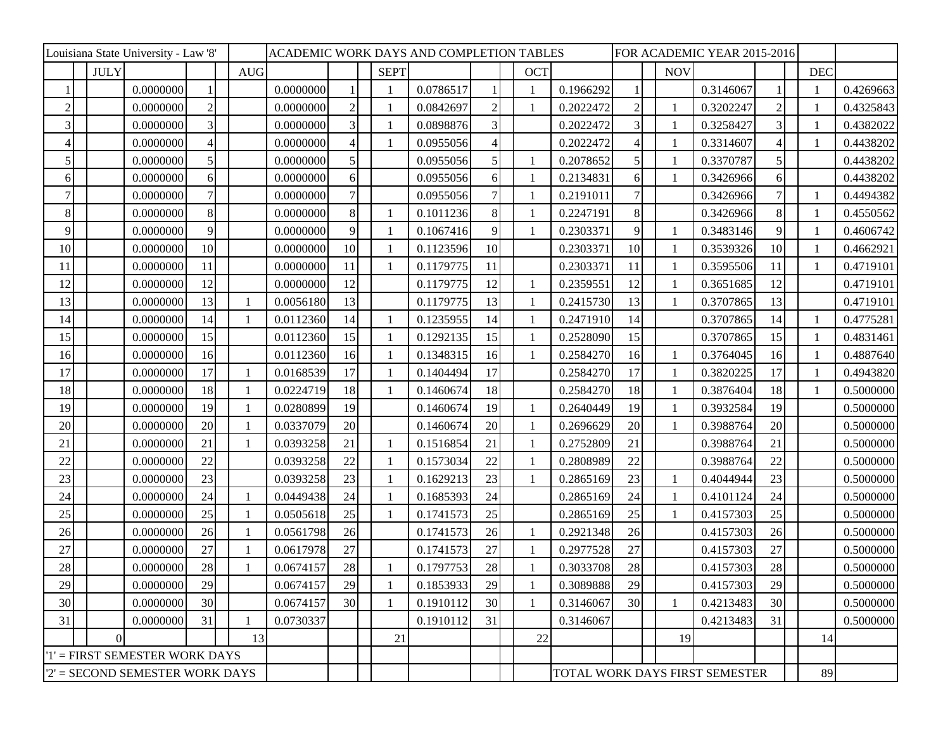| Louisiana State University - Law '8' |                  |           |                 |            |           | ACADEMIC WORK DAYS AND COMPLETION TABLES |                 |  |             |           |                |  |                         |           | FOR ACADEMIC YEAR 2015-2016 |                         |                                |                |            |           |
|--------------------------------------|------------------|-----------|-----------------|------------|-----------|------------------------------------------|-----------------|--|-------------|-----------|----------------|--|-------------------------|-----------|-----------------------------|-------------------------|--------------------------------|----------------|------------|-----------|
|                                      | <b>JULY</b>      |           |                 | <b>AUG</b> |           |                                          |                 |  | <b>SEPT</b> |           |                |  | <b>OCT</b>              |           |                             | <b>NOV</b>              |                                |                | <b>DEC</b> |           |
|                                      |                  | 0.0000000 |                 |            | 0.0000000 |                                          |                 |  |             | 0.0786517 |                |  |                         | 0.1966292 |                             |                         | 0.3146067                      |                |            | 0.4269663 |
| $\overline{2}$                       |                  | 0.0000000 | $\overline{2}$  |            | 0.0000000 |                                          | $\mathfrak{D}$  |  |             | 0.0842697 | $\overline{2}$ |  | $\mathbf{1}$            | 0.2022472 | $\overline{2}$              |                         | 0.3202247                      | $\mathcal{D}$  |            | 0.4325843 |
| 3                                    |                  | 0.0000000 | 3               |            | 0.0000000 |                                          | 3               |  |             | 0.0898876 | $\overline{3}$ |  |                         | 0.2022472 | 3                           | -1                      | 0.3258427                      | 3              |            | 0.4382022 |
| $\overline{4}$                       |                  | 0.0000000 | $\overline{4}$  |            | 0.0000000 |                                          |                 |  |             | 0.0955056 | 4              |  |                         | 0.2022472 | Δ                           |                         | 0.3314607                      | $\overline{4}$ |            | 0.4438202 |
| 5                                    |                  | 0.0000000 | 5               |            | 0.0000000 |                                          | 5               |  |             | 0.0955056 | 5              |  | $\mathbf{1}$            | 0.2078652 | 5                           | $\mathbf{1}$            | 0.3370787                      | 5              |            | 0.4438202 |
| 6                                    |                  | 0.0000000 | $\vert 6 \vert$ |            | 0.0000000 |                                          | 6               |  |             | 0.0955056 | 6              |  | $\overline{1}$          | 0.2134831 | 6                           |                         | 0.3426966                      | 6              |            | 0.4438202 |
| $\overline{7}$                       |                  | 0.0000000 | $\tau$          |            | 0.0000000 |                                          |                 |  |             | 0.0955056 | 7              |  | 1                       | 0.2191011 |                             |                         | 0.3426966                      | 7              |            | 0.4494382 |
| 8                                    |                  | 0.0000000 | 8 <sup>1</sup>  |            | 0.0000000 |                                          | 8               |  |             | 0.1011236 | 8              |  | -1                      | 0.2247191 | 8                           |                         | 0.3426966                      | 8              |            | 0.4550562 |
| 9                                    |                  | 0.0000000 | 9               |            | 0.0000000 |                                          | 9               |  |             | 0.1067416 | 9              |  | $\mathbf{1}$            | 0.2303371 | $\overline{Q}$              |                         | 0.3483146                      | 9              |            | 0.4606742 |
| 10                                   |                  | 0.0000000 | 10 <sup>1</sup> |            | 0.0000000 |                                          | 10 <sup>1</sup> |  |             | 0.1123596 | 10             |  |                         | 0.2303371 | 10                          |                         | 0.3539326                      | 10             |            | 0.4662921 |
| 11                                   |                  | 0.0000000 | 11              |            | 0.0000000 |                                          | 11              |  |             | 0.1179775 | 11             |  |                         | 0.2303371 | 11                          |                         | 0.3595506                      | 11             |            | 0.4719101 |
| 12                                   |                  | 0.0000000 | 12              |            | 0.0000000 |                                          | 12              |  |             | 0.1179775 | 12             |  |                         | 0.2359551 | 12                          |                         | 0.3651685                      | 12             |            | 0.4719101 |
| 13                                   |                  | 0.0000000 | 13              |            | 0.0056180 |                                          | 13              |  |             | 0.1179775 | 13             |  |                         | 0.2415730 | 13                          |                         | 0.3707865                      | 13             |            | 0.4719101 |
| 14                                   |                  | 0.0000000 | 14              |            | 0.0112360 |                                          | 14              |  |             | 0.1235955 | 14             |  | $\overline{\mathbf{1}}$ | 0.2471910 | 14                          |                         | 0.3707865                      | 14             |            | 0.4775281 |
| 15                                   |                  | 0.0000000 | 15              |            | 0.0112360 |                                          | 15              |  |             | 0.1292135 | 15             |  | $\overline{1}$          | 0.2528090 | 15                          |                         | 0.3707865                      | 15             |            | 0.4831461 |
| 16                                   |                  | 0.0000000 | 16              |            | 0.0112360 |                                          | 16              |  |             | 0.1348315 | 16             |  | -1                      | 0.2584270 | 16                          | $\overline{\mathbf{1}}$ | 0.3764045                      | 16             |            | 0.4887640 |
| 17                                   |                  | 0.0000000 | 17              |            | 0.0168539 |                                          | 17              |  |             | 0.1404494 | 17             |  |                         | 0.2584270 | 17                          | $\overline{\mathbf{1}}$ | 0.3820225                      | 17             |            | 0.4943820 |
| 18                                   |                  | 0.0000000 | 18              |            | 0.0224719 |                                          | 18              |  |             | 0.1460674 | 18             |  |                         | 0.2584270 | 18                          | $\mathbf{1}$            | 0.3876404                      | 18             |            | 0.5000000 |
| 19                                   |                  | 0.0000000 | 19              |            | 0.0280899 |                                          | 19              |  |             | 0.1460674 | 19             |  | $\overline{1}$          | 0.2640449 | 19                          |                         | 0.3932584                      | 19             |            | 0.5000000 |
| 20                                   |                  | 0.0000000 | 20              |            | 0.0337079 |                                          | 20              |  |             | 0.1460674 | 20             |  | -1                      | 0.2696629 | 20                          |                         | 0.3988764                      | 20             |            | 0.5000000 |
| 21                                   |                  | 0.0000000 | 21              |            | 0.0393258 |                                          | 21              |  |             | 0.1516854 | 21             |  | -1                      | 0.2752809 | 21                          |                         | 0.3988764                      | 21             |            | 0.5000000 |
| 22                                   |                  | 0.0000000 | 22              |            | 0.0393258 |                                          | 22              |  |             | 0.1573034 | 22             |  | $\mathbf{1}$            | 0.2808989 | 22                          |                         | 0.3988764                      | 22             |            | 0.5000000 |
| 23                                   |                  | 0.0000000 | 23              |            | 0.0393258 |                                          | 23              |  |             | 0.1629213 | 23             |  |                         | 0.2865169 | 23                          |                         | 0.4044944                      | 23             |            | 0.5000000 |
| 24                                   |                  | 0.0000000 | 24              |            | 0.0449438 |                                          | 24              |  |             | 0.1685393 | 24             |  |                         | 0.2865169 | 24                          |                         | 0.4101124                      | 24             |            | 0.5000000 |
| 25                                   |                  | 0.0000000 | 25              |            | 0.0505618 |                                          | 25              |  |             | 0.1741573 | 25             |  |                         | 0.2865169 | 25                          |                         | 0.4157303                      | 25             |            | 0.5000000 |
| 26                                   |                  | 0.0000000 | 26              |            | 0.0561798 |                                          | 26              |  |             | 0.1741573 | 26             |  | $\overline{1}$          | 0.2921348 | 26                          |                         | 0.4157303                      | 26             |            | 0.5000000 |
| 27                                   |                  | 0.0000000 | 27              |            | 0.0617978 |                                          | 27              |  |             | 0.1741573 | 27             |  | $\overline{\mathbf{1}}$ | 0.2977528 | 27                          |                         | 0.4157303                      | 27             |            | 0.5000000 |
| 28                                   |                  | 0.0000000 | 28              |            | 0.0674157 |                                          | 28              |  |             | 0.1797753 | 28             |  |                         | 0.3033708 | 28                          |                         | 0.4157303                      | 28             |            | 0.5000000 |
| 29                                   |                  | 0.0000000 | 29              |            | 0.0674157 |                                          | 29              |  |             | 0.1853933 | 29             |  | -1                      | 0.3089888 | 29                          |                         | 0.4157303                      | 29             |            | 0.5000000 |
| 30                                   |                  | 0.0000000 | 30              |            | 0.0674157 |                                          | 30              |  |             | 0.1910112 | 30             |  | $\overline{1}$          | 0.3146067 | 30                          | $\overline{1}$          | 0.4213483                      | 30             |            | 0.5000000 |
| 31                                   |                  | 0.0000000 | 31              |            | 0.0730337 |                                          |                 |  |             | 0.1910112 | 31             |  |                         | 0.3146067 |                             |                         | 0.4213483                      | 31             |            | 0.5000000 |
|                                      | $\boldsymbol{0}$ |           |                 |            | 13        |                                          |                 |  | 21          |           |                |  | $22\,$                  |           |                             | 19                      |                                |                | 14         |           |
| '1' = FIRST SEMESTER WORK DAYS       |                  |           |                 |            |           |                                          |                 |  |             |           |                |  |                         |           |                             |                         |                                |                |            |           |
| $2'$ = SECOND SEMESTER WORK DAYS     |                  |           |                 |            |           |                                          |                 |  |             |           |                |  |                         |           |                             |                         | TOTAL WORK DAYS FIRST SEMESTER |                | 89         |           |